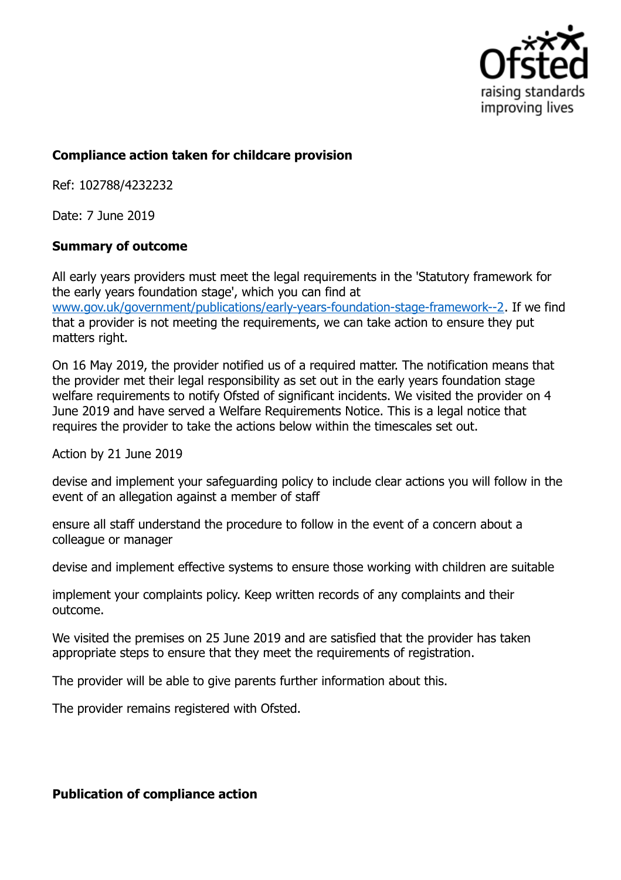

## **Compliance action taken for childcare provision**

Ref: 102788/4232232

Date: 7 June 2019

## **Summary of outcome**

All early years providers must meet the legal requirements in the 'Statutory framework for the early years foundation stage', which you can find at www.gov.uk/government/publications/early-years-foundation-stage-framework--2. If we find that a provider is not meeting the requirements, we can take action to ensure they put matters right.

On 16 May 2019, the provider notified us of a required matter. The notification means that the provider met their legal responsibility as set out in the early years foundation stage welfare requirements to notify Ofsted of significant incidents. We visited the provider on 4 June 2019 and have served a Welfare Requirements Notice. This is a legal notice that requires the provider to take the actions below within the timescales set out.

Action by 21 June 2019

devise and implement your safeguarding policy to include clear actions you will follow in the event of an allegation against a member of staff

ensure all staff understand the procedure to follow in the event of a concern about a colleague or manager

devise and implement effective systems to ensure those working with children are suitable

implement your complaints policy. Keep written records of any complaints and their outcome.

We visited the premises on 25 June 2019 and are satisfied that the provider has taken appropriate steps to ensure that they meet the requirements of registration.

The provider will be able to give parents further information about this.

The provider remains registered with Ofsted.

## **Publication of compliance action**